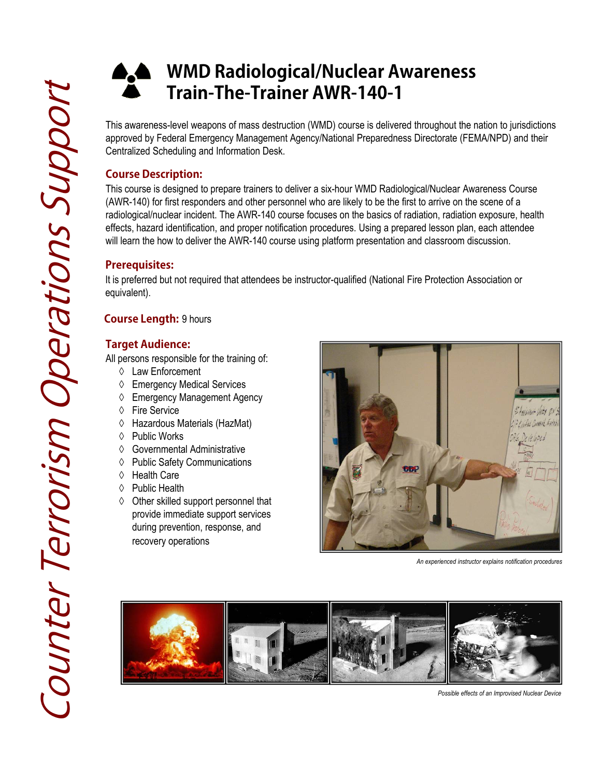# **WMD Radiological/Nuclear Awareness**  X **Train-The-Trainer AWR-140-1**

**Train-The-Trainer AWR-140-1**<br>This awareness-level weapons of mass destruction (WMD) course is deliverapproved by Federal Emergency Management Agency/National Preparedne<br>Centralized Scheduling and Information Desk.<br>Course This awareness-level weapons of mass destruction (WMD) course is delivered throughout the nation to jurisdictions approved by Federal Emergency Management Agency/National Preparedness Directorate (FEMA/NPD) and their Centralized Scheduling and Information Desk.

## **Course Description:**

This course is designed to prepare trainers to deliver a six-hour WMD Radiological/Nuclear Awareness Course (AWR-140) for first responders and other personnel who are likely to be the first to arrive on the scene of a radiological/nuclear incident. The AWR-140 course focuses on the basics of radiation, radiation exposure, health effects, hazard identification, and proper notification procedures. Using a prepared lesson plan, each attendee will learn the how to deliver the AWR-140 course using platform presentation and classroom discussion.

## **Prerequisites:**

It is preferred but not required that attendees be instructor-qualified (National Fire Protection Association or equivalent) equivalent).

## **Course Length:** 9 hours

### **Target Audience:**

All persons responsible for the training of:

- ◊ Law Enforcement
- ♦ Emergency Medical Services
- ◊ Emergency Management Agency
- ◊ Fire Service
- ◊ Hazardous Materials (HazMat)
- ◊ Public Works
- ◊ Governmental Administrative
- ◊ Public Safety Communications
- ◊ Health Care
- ↑ Public Health
- ◊ Other skilled support personnel that provide immediate support services during prevention, response, and recovery operations



*An experienced instructor explains notification procedures*



*Possible effects of an Improvised Nuclear Device*